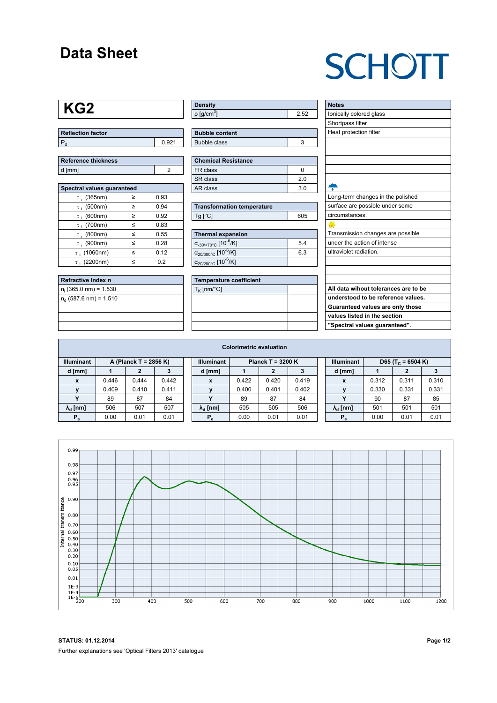#### **Data Sheet**

## **SCHOTT**

### **KG2**

| Reflection factor |  |  |  |  |  |
|-------------------|--|--|--|--|--|
|                   |  |  |  |  |  |

| <b>Reference thickness</b> |  |  |  |  |  |  |
|----------------------------|--|--|--|--|--|--|
| d [mm]                     |  |  |  |  |  |  |

| Spectral values quaranteed |   |      |  |  |  |  |  |  |  |
|----------------------------|---|------|--|--|--|--|--|--|--|
| $\tau$ ; (365nm)           | ≥ | 0.93 |  |  |  |  |  |  |  |
| $\tau$ ; (500nm)           | ≥ | 0.94 |  |  |  |  |  |  |  |
| $\tau$ ; (600nm)           | ≥ | 0.92 |  |  |  |  |  |  |  |
| $\tau$ ; (700nm)           | < | 0.83 |  |  |  |  |  |  |  |
| $\tau$ ; (800nm)           | ≤ | 0.55 |  |  |  |  |  |  |  |
| $\tau$ : (900nm)           | < | 0.28 |  |  |  |  |  |  |  |
| $\tau$ ; (1060nm)          | < | 0.12 |  |  |  |  |  |  |  |
| $\tau$ : (2200nm)          | < | 0.2  |  |  |  |  |  |  |  |

| Refractive Index n       |  |
|--------------------------|--|
| $n_i$ (365.0 nm) = 1.530 |  |
| $n_d$ (587.6 nm) = 1.510 |  |
|                          |  |
|                          |  |
|                          |  |

| <b>Density</b>           |  |
|--------------------------|--|
| $p$ [g/cm <sup>3</sup> ] |  |

| <b>Chemical Resistance</b> |    |  |  |  |  |  |  |
|----------------------------|----|--|--|--|--|--|--|
| FR class                   |    |  |  |  |  |  |  |
| SR class                   | 20 |  |  |  |  |  |  |
| AR class                   | 30 |  |  |  |  |  |  |

| <b>Transformation temperature</b> |     |  |  |  |  |
|-----------------------------------|-----|--|--|--|--|
| $Tg$ [ $^{\circ}$ C]              | 605 |  |  |  |  |

| Thermal expansion                                 |     |  |  |  |  |  |  |
|---------------------------------------------------|-----|--|--|--|--|--|--|
| $\alpha_{.30/+70\degree}$ C [10 <sup>-6</sup> /K] | 5.4 |  |  |  |  |  |  |
| $\alpha_{20/300^{\circ}C}$ [10 <sup>-6</sup> /K]  | 6.3 |  |  |  |  |  |  |
| $\alpha_{20/200^{\circ}C}$ [10 <sup>-6</sup> /K]  |     |  |  |  |  |  |  |

| <b>Temperature coefficient</b> |  |  |  |  |  |  |
|--------------------------------|--|--|--|--|--|--|
| $T_K$ [nm/°C]                  |  |  |  |  |  |  |
|                                |  |  |  |  |  |  |
|                                |  |  |  |  |  |  |
|                                |  |  |  |  |  |  |
|                                |  |  |  |  |  |  |

| <b>Notes</b>                         |
|--------------------------------------|
| lonically colored glass              |
| Shortpass filter                     |
| Heat protection filter               |
|                                      |
|                                      |
|                                      |
|                                      |
|                                      |
|                                      |
| Long-term changes in the polished    |
| surface are possible under some      |
| circumstances.                       |
|                                      |
| Transmission changes are possible    |
| under the action of intense          |
| ultraviolet radiation.               |
|                                      |
|                                      |
|                                      |
| All data wihout tolerances are to be |
| understood to be reference values.   |
| Guaranteed values are only those     |

**values listed in the section "Spectral values guaranteed".**

| <b>Colorimetric evaluation</b> |                       |       |       |  |                        |                     |       |       |  |                        |                               |       |       |
|--------------------------------|-----------------------|-------|-------|--|------------------------|---------------------|-------|-------|--|------------------------|-------------------------------|-------|-------|
| <b>Illuminant</b>              | A (Planck T = 2856 K) |       |       |  | <b>Illuminant</b>      | Planck T = $3200 K$ |       |       |  | <b>Illuminant</b>      | D65 (T <sub>c</sub> = 6504 K) |       |       |
| d [mm]                         |                       | 2     |       |  | d [mm]                 |                     |       | 3     |  | d [mm]                 |                               | 2     |       |
| X                              | 0.446                 | 0.444 | 0.442 |  | X                      | 0.422               | 0.420 | 0.419 |  | X                      | 0.312                         | 0.311 | 0.310 |
|                                | 0.409                 | 0.410 | 0.411 |  |                        | 0.400               | 0.401 | 0.402 |  |                        | 0.330                         | 0.331 | 0.331 |
|                                | 89                    | 87    | 84    |  | $\mathbf{v}$           | 89                  | 87    | 84    |  | $\checkmark$           | 90                            | 87    | 85    |
| $\lambda_{\rm d}$ [nm]         | 506                   | 507   | 507   |  | $\lambda_{\rm d}$ [nm] | 505                 | 505   | 506   |  | $\lambda_{\rm d}$ [nm] | 501                           | 501   | 501   |
| $P_e$                          | 0.00                  | 0.01  | 0.01  |  | $P_e$                  | 0.00                | 0.01  | 0.01  |  | $P_e$                  | 0.00                          | 0.01  | 0.01  |
|                                |                       |       |       |  |                        |                     |       |       |  |                        |                               |       |       |



**STATUS: 01.12.2014 Page 1/2** Further explanations see 'Optical Filters 2013' catalogue